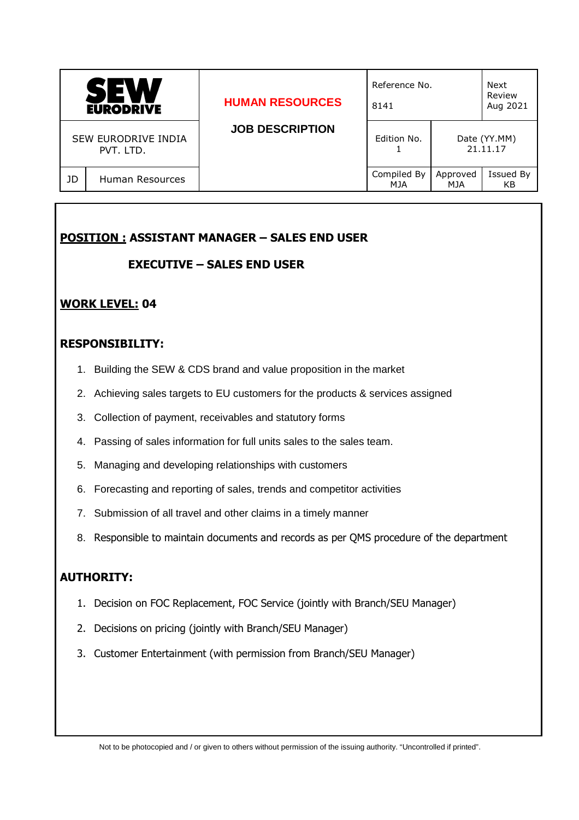| M<br>SE<br><b>EURODRIVE</b>      |                 | <b>HUMAN RESOURCES</b> | Reference No.<br>8141     |                 | Next<br>Review<br>Aug 2021 |
|----------------------------------|-----------------|------------------------|---------------------------|-----------------|----------------------------|
| SEW EURODRIVE INDIA<br>PVT. LTD. |                 | <b>JOB DESCRIPTION</b> | Edition No.               |                 | Date (YY.MM)<br>21.11.17   |
| JD                               | Human Resources |                        | Compiled By<br><b>MJA</b> | Approved<br>MJA | Issued By<br>KB            |

# **POSITION : ASSISTANT MANAGER – SALES END USER**

#### **EXECUTIVE – SALES END USER**

### **WORK LEVEL: 04**

### **RESPONSIBILITY:**

- 1. Building the SEW & CDS brand and value proposition in the market
- 2. Achieving sales targets to EU customers for the products & services assigned
- 3. Collection of payment, receivables and statutory forms
- 4. Passing of sales information for full units sales to the sales team.
- 5. Managing and developing relationships with customers
- 6. Forecasting and reporting of sales, trends and competitor activities
- 7. Submission of all travel and other claims in a timely manner
- 8. Responsible to maintain documents and records as per QMS procedure of the department

## **AUTHORITY:**

- 1. Decision on FOC Replacement, FOC Service (jointly with Branch/SEU Manager)
- 2. Decisions on pricing (jointly with Branch/SEU Manager)
- 3. Customer Entertainment (with permission from Branch/SEU Manager)

Not to be photocopied and / or given to others without permission of the issuing authority. "Uncontrolled if printed".